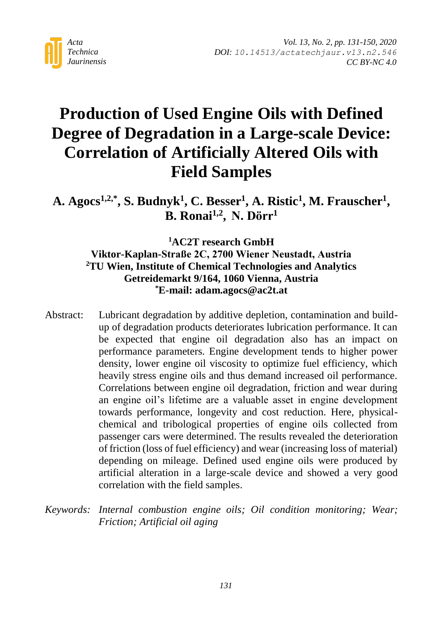

# **Production of Used Engine Oils with Defined Degree of Degradation in a Large-scale Device: Correlation of Artificially Altered Oils with Field Samples**

**A. Agocs1,2,\* , S. Budnyk<sup>1</sup> , C. Besser<sup>1</sup> , A. Ristic<sup>1</sup> , M. Frauscher<sup>1</sup> , B. Ronai1,2 , N. Dörr<sup>1</sup>**

## **<sup>1</sup>AC2T research GmbH Viktor-Kaplan-Straße 2C, 2700 Wiener Neustadt, Austria <sup>2</sup>TU Wien, Institute of Chemical Technologies and Analytics Getreidemarkt 9/164, 1060 Vienna, Austria \*E-mail: adam.agocs@ac2t.at**

- Abstract: Lubricant degradation by additive depletion, contamination and buildup of degradation products deteriorates lubrication performance. It can be expected that engine oil degradation also has an impact on performance parameters. Engine development tends to higher power density, lower engine oil viscosity to optimize fuel efficiency, which heavily stress engine oils and thus demand increased oil performance. Correlations between engine oil degradation, friction and wear during an engine oil's lifetime are a valuable asset in engine development towards performance, longevity and cost reduction. Here, physicalchemical and tribological properties of engine oils collected from passenger cars were determined. The results revealed the deterioration of friction (loss of fuel efficiency) and wear (increasing loss of material) depending on mileage. Defined used engine oils were produced by artificial alteration in a large-scale device and showed a very good correlation with the field samples.
- *Keywords: Internal combustion engine oils; Oil condition monitoring; Wear; Friction; Artificial oil aging*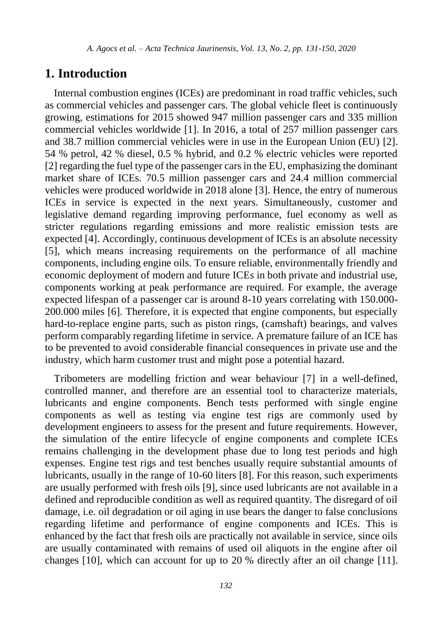### **1. Introduction**

Internal combustion engines (ICEs) are predominant in road traffic vehicles, such as commercial vehicles and passenger cars. The global vehicle fleet is continuously growing, estimations for 2015 showed 947 million passenger cars and 335 million commercial vehicles worldwide [\[1\].](#page-15-0) In 2016, a total of 257 million passenger cars and 38.7 million commercial vehicles were in use in the European Union (EU) [\[2\].](#page-15-1) 54 % petrol, 42 % diesel, 0.5 % hybrid, and 0.2 % electric vehicles were reported [\[2\]](#page-15-1) regarding the fuel type of the passenger cars in the EU, emphasizing the dominant market share of ICEs. 70.5 million passenger cars and 24.4 million commercial vehicles were produced worldwide in 2018 alon[e \[3\].](#page-16-0) Hence, the entry of numerous ICEs in service is expected in the next years. Simultaneously, customer and legislative demand regarding improving performance, fuel economy as well as stricter regulations regarding emissions and more realistic emission tests are expecte[d \[4\].](#page-16-1) Accordingly, continuous development of ICEs is an absolute necessity [\[5\],](#page-16-2) which means increasing requirements on the performance of all machine components, including engine oils. To ensure reliable, environmentally friendly and economic deployment of modern and future ICEs in both private and industrial use, components working at peak performance are required. For example, the average expected lifespan of a passenger car is around 8-10 years correlating with 150.000- 200.000 miles [\[6\].](#page-16-3) Therefore, it is expected that engine components, but especially hard-to-replace engine parts, such as piston rings, (camshaft) bearings, and valves perform comparably regarding lifetime in service. A premature failure of an ICE has to be prevented to avoid considerable financial consequences in private use and the industry, which harm customer trust and might pose a potential hazard.

Tribometers are modelling friction and wear behaviour [\[7\]](#page-16-4) in a well-defined, controlled manner, and therefore are an essential tool to characterize materials, lubricants and engine components. Bench tests performed with single engine components as well as testing via engine test rigs are commonly used by development engineers to assess for the present and future requirements. However, the simulation of the entire lifecycle of engine components and complete ICEs remains challenging in the development phase due to long test periods and high expenses. Engine test rigs and test benches usually require substantial amounts of lubricants, usually in the range of 10-60 liter[s \[8\].](#page-16-5) For this reason, such experiments are usually performed with fresh oils [\[9\],](#page-16-6) since used lubricants are not available in a defined and reproducible condition as well as required quantity. The disregard of oil damage, i.e. oil degradation or oil aging in use bears the danger to false conclusions regarding lifetime and performance of engine components and ICEs. This is enhanced by the fact that fresh oils are practically not available in service, since oils are usually contaminated with remains of used oil aliquots in the engine after oil changes [\[10\],](#page-16-7) which can account for up to 20 % directly after an oil change [\[11\].](#page-17-0)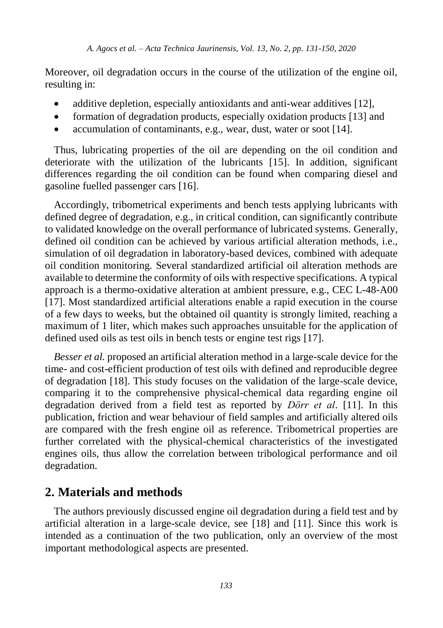Moreover, oil degradation occurs in the course of the utilization of the engine oil, resulting in:

- additive depletion, especially antioxidants and anti-wear additive[s \[12\],](#page-17-1)
- formation of degradation products, especially oxidation product[s \[13\]](#page-17-2) and
- accumulation of contaminants, e.g., wear, dust, water or soot [\[14\].](#page-17-3)

Thus, lubricating properties of the oil are depending on the oil condition and deteriorate with the utilization of the lubricants [\[15\].](#page-17-4) In addition, significant differences regarding the oil condition can be found when comparing diesel and gasoline fuelled passenger cars [\[16\].](#page-17-5)

Accordingly, tribometrical experiments and bench tests applying lubricants with defined degree of degradation, e.g., in critical condition, can significantly contribute to validated knowledge on the overall performance of lubricated systems. Generally, defined oil condition can be achieved by various artificial alteration methods, i.e., simulation of oil degradation in laboratory-based devices, combined with adequate oil condition monitoring. Several standardized artificial oil alteration methods are available to determine the conformity of oils with respective specifications. A typical approach is a thermo-oxidative alteration at ambient pressure, e.g., CEC L-48-A00 [\[17\].](#page-17-6) Most standardized artificial alterations enable a rapid execution in the course of a few days to weeks, but the obtained oil quantity is strongly limited, reaching a maximum of 1 liter, which makes such approaches unsuitable for the application of defined used oils as test oils in bench tests or engine test rigs [\[17\].](#page-17-6)

*Besser et al.* proposed an artificial alteration method in a large-scale device for the time- and cost-efficient production of test oils with defined and reproducible degree of degradation [\[18\].](#page-17-7) This study focuses on the validation of the large-scale device, comparing it to the comprehensive physical-chemical data regarding engine oil degradation derived from a field test as reported by *Dörr et al*. [\[11\].](#page-17-0) In this publication, friction and wear behaviour of field samples and artificially altered oils are compared with the fresh engine oil as reference. Tribometrical properties are further correlated with the physical-chemical characteristics of the investigated engines oils, thus allow the correlation between tribological performance and oil degradation.

#### **2. Materials and methods**

The authors previously discussed engine oil degradation during a field test and by artificial alteration in a large-scale device, see [\[18\]](#page-17-7) and [\[11\].](#page-17-0) Since this work is intended as a continuation of the two publication, only an overview of the most important methodological aspects are presented.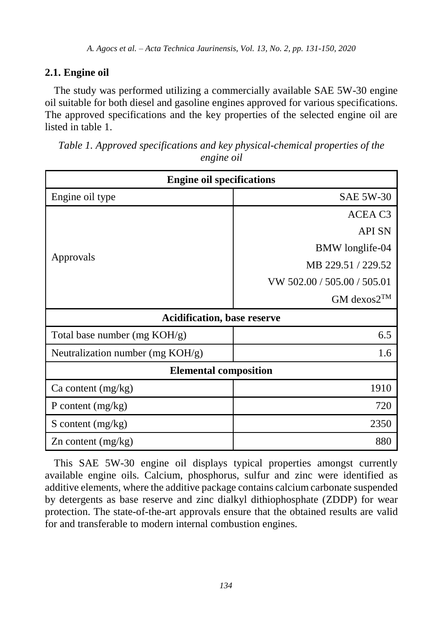# **2.1. Engine oil**

The study was performed utilizing a commercially available SAE 5W-30 engine oil suitable for both diesel and gasoline engines approved for various specifications. The approved specifications and the key properties of the selected engine oil are listed in table 1.

| Table 1. Approved specifications and key physical-chemical properties of the |
|------------------------------------------------------------------------------|
| engine oil                                                                   |
|                                                                              |

| <b>Engine oil specifications</b>    |                             |  |  |  |
|-------------------------------------|-----------------------------|--|--|--|
| Engine oil type                     | <b>SAE 5W-30</b>            |  |  |  |
| Approvals                           | ACEA C <sub>3</sub>         |  |  |  |
|                                     | <b>API SN</b>               |  |  |  |
|                                     | BMW longlife-04             |  |  |  |
|                                     | MB 229.51 / 229.52          |  |  |  |
|                                     | VW 502.00 / 505.00 / 505.01 |  |  |  |
|                                     | $GM$ dexos $2^{TM}$         |  |  |  |
| <b>Acidification, base reserve</b>  |                             |  |  |  |
| Total base number (mg KOH/g)        | 6.5                         |  |  |  |
| Neutralization number (mg $KOH/g$ ) | 1.6                         |  |  |  |
| <b>Elemental composition</b>        |                             |  |  |  |
| Ca content $(mg/kg)$                | 1910                        |  |  |  |
| P content $(mg/kg)$                 | 720                         |  |  |  |
| S content $(mg/kg)$                 | 2350                        |  |  |  |
| $\chi$ n content (mg/kg)            | 880                         |  |  |  |

This SAE 5W-30 engine oil displays typical properties amongst currently available engine oils. Calcium, phosphorus, sulfur and zinc were identified as additive elements, where the additive package contains calcium carbonate suspended by detergents as base reserve and zinc dialkyl dithiophosphate (ZDDP) for wear protection. The state-of-the-art approvals ensure that the obtained results are valid for and transferable to modern internal combustion engines.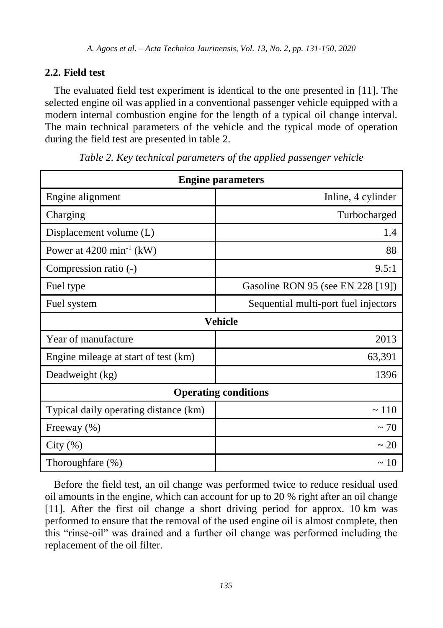# **2.2. Field test**

The evaluated field test experiment is identical to the one presented in [\[11\].](#page-17-0) The selected engine oil was applied in a conventional passenger vehicle equipped with a modern internal combustion engine for the length of a typical oil change interval. The main technical parameters of the vehicle and the typical mode of operation during the field test are presented in table 2.

| <b>Engine parameters</b>              |                                      |  |  |  |
|---------------------------------------|--------------------------------------|--|--|--|
| Engine alignment                      | Inline, 4 cylinder                   |  |  |  |
| Charging                              | Turbocharged                         |  |  |  |
| Displacement volume (L)               | 1.4                                  |  |  |  |
| Power at $4200 \text{ min}^{-1}$ (kW) | 88                                   |  |  |  |
| Compression ratio (-)                 | 9.5:1                                |  |  |  |
| Fuel type                             | Gasoline RON 95 (see EN 228 [19])    |  |  |  |
| Fuel system                           | Sequential multi-port fuel injectors |  |  |  |
| <b>Vehicle</b>                        |                                      |  |  |  |
| Year of manufacture                   | 2013                                 |  |  |  |
| Engine mileage at start of test (km)  | 63,391                               |  |  |  |
| Deadweight (kg)                       | 1396                                 |  |  |  |
| <b>Operating conditions</b>           |                                      |  |  |  |
| Typical daily operating distance (km) | $\sim$ 110                           |  |  |  |
| Freeway (%)                           | $\sim$ 70                            |  |  |  |
| City $(\% )$                          | $\sim$ 20                            |  |  |  |
| Thoroughfare (%)                      | $\sim$ 10                            |  |  |  |

*Table 2. Key technical parameters of the applied passenger vehicle*

Before the field test, an oil change was performed twice to reduce residual used oil amounts in the engine, which can account for up to 20 % right after an oil change [\[11\].](#page-17-0) After the first oil change a short driving period for approx. 10 km was performed to ensure that the removal of the used engine oil is almost complete, then this "rinse-oil" was drained and a further oil change was performed including the replacement of the oil filter.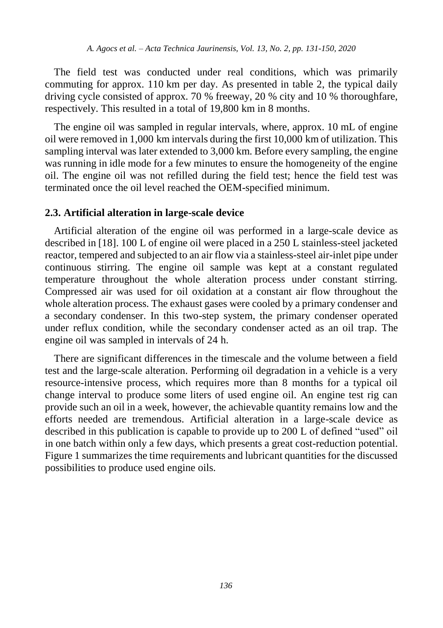The field test was conducted under real conditions, which was primarily commuting for approx. 110 km per day. As presented in table 2, the typical daily driving cycle consisted of approx. 70 % freeway, 20 % city and 10 % thoroughfare, respectively. This resulted in a total of 19,800 km in 8 months.

The engine oil was sampled in regular intervals, where, approx. 10 mL of engine oil were removed in 1,000 km intervals during the first 10,000 km of utilization. This sampling interval was later extended to 3,000 km. Before every sampling, the engine was running in idle mode for a few minutes to ensure the homogeneity of the engine oil. The engine oil was not refilled during the field test; hence the field test was terminated once the oil level reached the OEM-specified minimum.

#### **2.3. Artificial alteration in large-scale device**

Artificial alteration of the engine oil was performed in a large-scale device as described i[n \[18\].](#page-17-7) 100 L of engine oil were placed in a 250 L stainless-steel jacketed reactor, tempered and subjected to an air flow via a stainless-steel air-inlet pipe under continuous stirring. The engine oil sample was kept at a constant regulated temperature throughout the whole alteration process under constant stirring. Compressed air was used for oil oxidation at a constant air flow throughout the whole alteration process. The exhaust gases were cooled by a primary condenser and a secondary condenser. In this two-step system, the primary condenser operated under reflux condition, while the secondary condenser acted as an oil trap. The engine oil was sampled in intervals of 24 h.

There are significant differences in the timescale and the volume between a field test and the large-scale alteration. Performing oil degradation in a vehicle is a very resource-intensive process, which requires more than 8 months for a typical oil change interval to produce some liters of used engine oil. An engine test rig can provide such an oil in a week, however, the achievable quantity remains low and the efforts needed are tremendous. Artificial alteration in a large-scale device as described in this publication is capable to provide up to 200 L of defined "used" oil in one batch within only a few days, which presents a great cost-reduction potential. Figure 1 summarizes the time requirements and lubricant quantities for the discussed possibilities to produce used engine oils.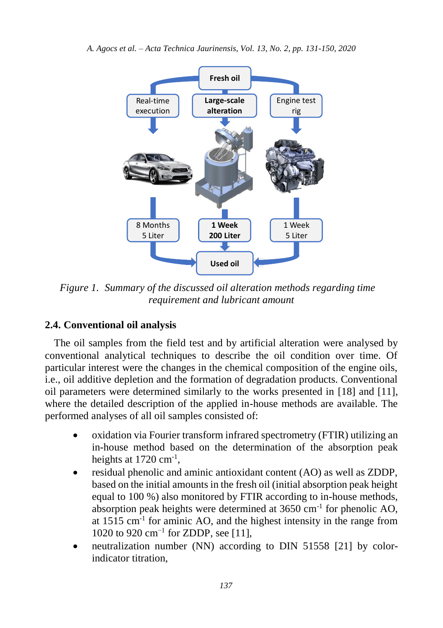

*Figure 1. Summary of the discussed oil alteration methods regarding time requirement and lubricant amount*

#### **2.4. Conventional oil analysis**

The oil samples from the field test and by artificial alteration were analysed by conventional analytical techniques to describe the oil condition over time. Of particular interest were the changes in the chemical composition of the engine oils, i.e., oil additive depletion and the formation of degradation products. Conventional oil parameters were determined similarly to the works presented in [\[18\]](#page-17-7) and [\[11\],](#page-17-0) where the detailed description of the applied in-house methods are available. The performed analyses of all oil samples consisted of:

- oxidation via Fourier transform infrared spectrometry (FTIR) utilizing an in-house method based on the determination of the absorption peak heights at 1720 cm<sup>-1</sup>,
- residual phenolic and aminic antioxidant content (AO) as well as ZDDP, based on the initial amounts in the fresh oil (initial absorption peak height equal to 100 %) also monitored by FTIR according to in-house methods, absorption peak heights were determined at  $3650 \text{ cm}^{-1}$  for phenolic AO, at 1515 cm<sup>-1</sup> for aminic AO, and the highest intensity in the range from 1020 to 920 cm<sup>-1</sup> for ZDDP, se[e \[11\],](#page-17-0)
- neutralization number (NN) according to DIN 51558 [\[21\]](#page-18-0) by colorindicator titration,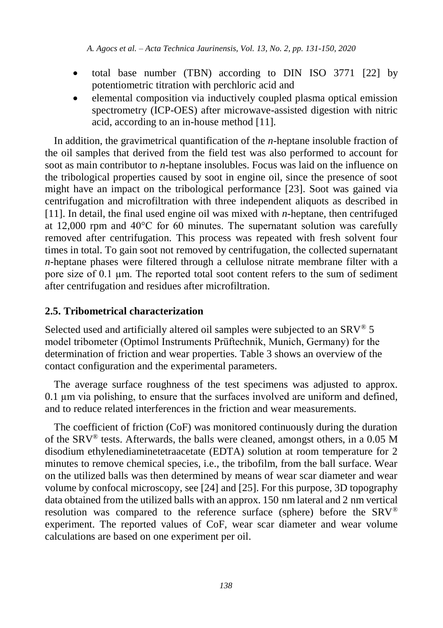- total base number (TBN) according to DIN ISO 3771 [\[22\]](#page-18-1) by potentiometric titration with perchloric acid and
- elemental composition via inductively coupled plasma optical emission spectrometry (ICP-OES) after microwave-assisted digestion with nitric acid, according to an in-house method [\[11\].](#page-17-0)

In addition, the gravimetrical quantification of the *n*-heptane insoluble fraction of the oil samples that derived from the field test was also performed to account for soot as main contributor to *n*-heptane insolubles. Focus was laid on the influence on the tribological properties caused by soot in engine oil, since the presence of soot might have an impact on the tribological performance [\[23\].](#page-18-2) Soot was gained via centrifugation and microfiltration with three independent aliquots as described in [\[11\].](#page-17-0) In detail, the final used engine oil was mixed with *n*-heptane, then centrifuged at 12,000 rpm and 40°C for 60 minutes. The supernatant solution was carefully removed after centrifugation. This process was repeated with fresh solvent four times in total. To gain soot not removed by centrifugation, the collected supernatant *n*-heptane phases were filtered through a cellulose nitrate membrane filter with a pore size of 0.1 µm. The reported total soot content refers to the sum of sediment after centrifugation and residues after microfiltration.

#### **2.5. Tribometrical characterization**

Selected used and artificially altered oil samples were subjected to an  $SRV^{\otimes} 5$ model tribometer (Optimol Instruments Prüftechnik, Munich, Germany) for the determination of friction and wear properties. Table 3 shows an overview of the contact configuration and the experimental parameters.

The average surface roughness of the test specimens was adjusted to approx. 0.1 µm via polishing, to ensure that the surfaces involved are uniform and defined, and to reduce related interferences in the friction and wear measurements.

The coefficient of friction (CoF) was monitored continuously during the duration of the SRV® tests. Afterwards, the balls were cleaned, amongst others, in a 0.05 M disodium ethylenediaminetetraacetate (EDTA) solution at room temperature for 2 minutes to remove chemical species, i.e., the tribofilm, from the ball surface. Wear on the utilized balls was then determined by means of wear scar diameter and wear volume by confocal microscopy, se[e \[24\]](#page-18-3) and [\[25\].](#page-18-4) For this purpose, 3D topography data obtained from the utilized balls with an approx. 150 nm lateral and 2 nm vertical resolution was compared to the reference surface (sphere) before the SRV® experiment. The reported values of CoF, wear scar diameter and wear volume calculations are based on one experiment per oil.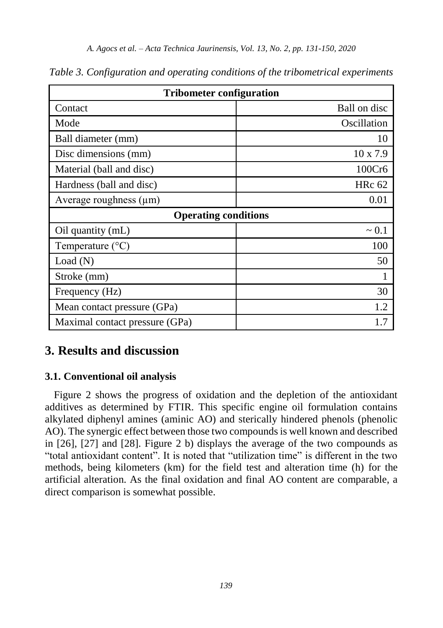| <b>Tribometer configuration</b> |                 |  |  |  |
|---------------------------------|-----------------|--|--|--|
| Contact                         | Ball on disc    |  |  |  |
| Mode                            | Oscillation     |  |  |  |
| Ball diameter (mm)              | 10              |  |  |  |
| Disc dimensions (mm)            | $10 \times 7.9$ |  |  |  |
| Material (ball and disc)        | 100Cr6          |  |  |  |
| Hardness (ball and disc)        | <b>HRc 62</b>   |  |  |  |
| Average roughness $(\mu m)$     | 0.01            |  |  |  |
| <b>Operating conditions</b>     |                 |  |  |  |
| Oil quantity (mL)               | $\sim 0.1$      |  |  |  |
| Temperature $(^{\circ}C)$       | 100             |  |  |  |
| Load(N)                         | 50              |  |  |  |
| Stroke (mm)                     |                 |  |  |  |
| Frequency (Hz)                  | 30              |  |  |  |
| Mean contact pressure (GPa)     | 1.2             |  |  |  |
| Maximal contact pressure (GPa)  | 1.7             |  |  |  |

*Table 3. Configuration and operating conditions of the tribometrical experiments*

# **3. Results and discussion**

#### <span id="page-8-0"></span>**3.1. Conventional oil analysis**

Figure 2 shows the progress of oxidation and the depletion of the antioxidant additives as determined by FTIR. This specific engine oil formulation contains alkylated diphenyl amines (aminic AO) and sterically hindered phenols (phenolic AO). The synergic effect between those two compounds is well known and described in [\[26\],](#page-18-5) [\[27\]](#page-18-6) and [\[28\].](#page-18-7) Figure 2 b) displays the average of the two compounds as "total antioxidant content". It is noted that "utilization time" is different in the two methods, being kilometers (km) for the field test and alteration time (h) for the artificial alteration. As the final oxidation and final AO content are comparable, a direct comparison is somewhat possible.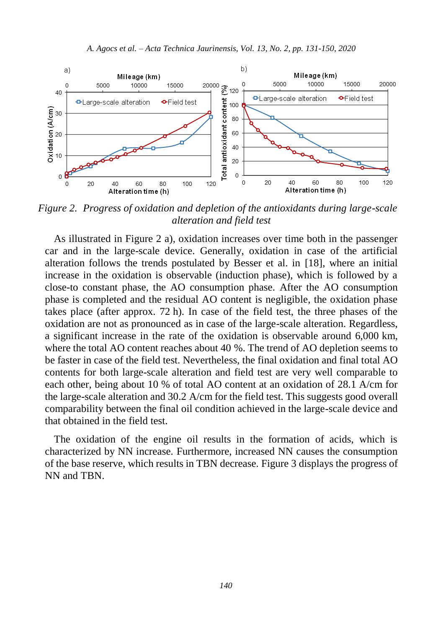

*Figure 2. Progress of oxidation and depletion of the antioxidants during large-scale alteration and field test*

As illustrated in Figure 2 a), oxidation increases over time both in the passenger car and in the large-scale device. Generally, oxidation in case of the artificial alteration follows the trends postulated by Besser et al. in [\[18\],](#page-17-7) where an initial increase in the oxidation is observable (induction phase), which is followed by a close-to constant phase, the AO consumption phase. After the AO consumption phase is completed and the residual AO content is negligible, the oxidation phase takes place (after approx. 72 h). In case of the field test, the three phases of the oxidation are not as pronounced as in case of the large-scale alteration. Regardless, a significant increase in the rate of the oxidation is observable around 6,000 km, where the total AO content reaches about 40 %. The trend of AO depletion seems to be faster in case of the field test. Nevertheless, the final oxidation and final total AO contents for both large-scale alteration and field test are very well comparable to each other, being about 10 % of total AO content at an oxidation of 28.1 A/cm for the large-scale alteration and 30.2 A/cm for the field test. This suggests good overall comparability between the final oil condition achieved in the large-scale device and that obtained in the field test.

The oxidation of the engine oil results in the formation of acids, which is characterized by NN increase. Furthermore, increased NN causes the consumption of the base reserve, which results in TBN decrease. Figure 3 displays the progress of NN and TBN.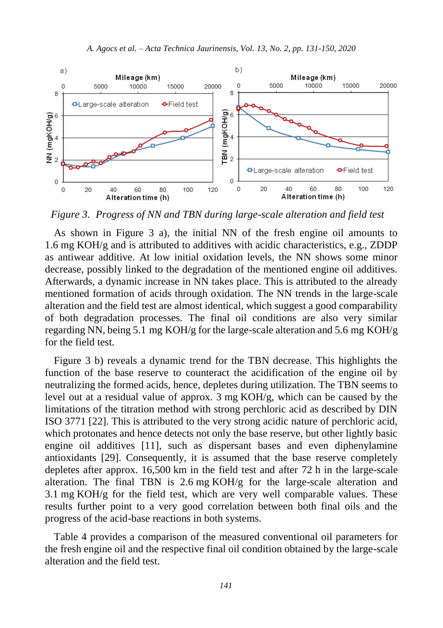

*Figure 3. Progress of NN and TBN during large-scale alteration and field test*

As shown in Figure 3 a), the initial NN of the fresh engine oil amounts to 1.6 mg KOH/g and is attributed to additives with acidic characteristics, e.g., ZDDP as antiwear additive. At low initial oxidation levels, the NN shows some minor decrease, possibly linked to the degradation of the mentioned engine oil additives. Afterwards, a dynamic increase in NN takes place. This is attributed to the already mentioned formation of acids through oxidation. The NN trends in the large-scale alteration and the field test are almost identical, which suggest a good comparability of both degradation processes. The final oil conditions are also very similar regarding NN, being 5.1 mg KOH/g for the large-scale alteration and 5.6 mg KOH/g for the field test.

Figure 3 b) reveals a dynamic trend for the TBN decrease. This highlights the function of the base reserve to counteract the acidification of the engine oil by neutralizing the formed acids, hence, depletes during utilization. The TBN seems to level out at a residual value of approx. 3 mg KOH/g, which can be caused by the limitations of the titration method with strong perchloric acid as described by DIN ISO 3771 [\[22\].](#page-18-1) This is attributed to the very strong acidic nature of perchloric acid, which protonates and hence detects not only the base reserve, but other lightly basic engine oil additives [\[11\],](#page-17-0) such as dispersant bases and even diphenylamine antioxidants [\[29\].](#page-18-8) Consequently, it is assumed that the base reserve completely depletes after approx. 16,500 km in the field test and after 72 h in the large-scale alteration. The final TBN is  $2.6 \text{ mg KOH/g}$  for the large-scale alteration and 3.1 mg KOH/g for the field test, which are very well comparable values. These results further point to a very good correlation between both final oils and the progress of the acid-base reactions in both systems.

Table 4 provides a comparison of the measured conventional oil parameters for the fresh engine oil and the respective final oil condition obtained by the large-scale alteration and the field test.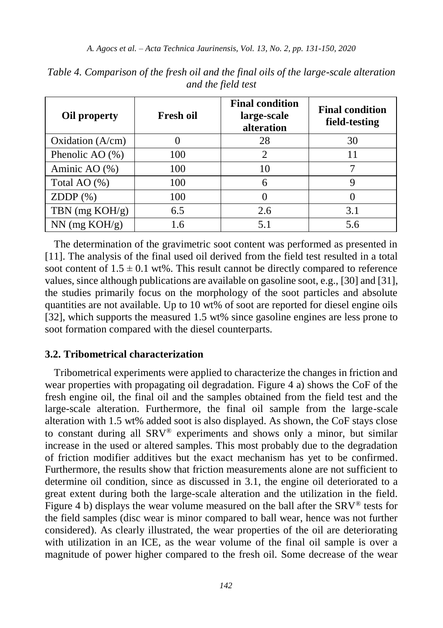| Oil property        | <b>Fresh oil</b> | <b>Final condition</b><br>large-scale<br>alteration | <b>Final condition</b><br>field-testing |
|---------------------|------------------|-----------------------------------------------------|-----------------------------------------|
| Oxidation $(A/cm)$  |                  | 28                                                  | 30                                      |
| Phenolic AO $(\% )$ | 100              | 2                                                   | 11                                      |
| Aminic AO (%)       | 100              | 10                                                  |                                         |
| Total AO (%)        | 100              | 6                                                   |                                         |
| $ZDDP(\%)$          | 100              |                                                     |                                         |
| TBN $(mg KOH/g)$    | 6.5              | 2.6                                                 | 3.1                                     |
| $NN$ (mg $KOH/g$ )  | 1.6              | 5.1                                                 | 5.6                                     |

*Table 4. Comparison of the fresh oil and the final oils of the large-scale alteration and the field test*

The determination of the gravimetric soot content was performed as presented in [\[11\].](#page-17-0) The analysis of the final used oil derived from the field test resulted in a total soot content of  $1.5 \pm 0.1$  wt%. This result cannot be directly compared to reference values, since although publications are available on gasoline soot, e.g.[, \[30\]](#page-19-0) and [\[31\],](#page-19-1) the studies primarily focus on the morphology of the soot particles and absolute quantities are not available. Up to 10 wt% of soot are reported for diesel engine oils [\[32\],](#page-19-2) which supports the measured 1.5 wt% since gasoline engines are less prone to soot formation compared with the diesel counterparts.

#### **3.2. Tribometrical characterization**

Tribometrical experiments were applied to characterize the changes in friction and wear properties with propagating oil degradation. Figure 4 a) shows the CoF of the fresh engine oil, the final oil and the samples obtained from the field test and the large-scale alteration. Furthermore, the final oil sample from the large-scale alteration with 1.5 wt% added soot is also displayed. As shown, the CoF stays close to constant during all SRV® experiments and shows only a minor, but similar increase in the used or altered samples. This most probably due to the degradation of friction modifier additives but the exact mechanism has yet to be confirmed. Furthermore, the results show that friction measurements alone are not sufficient to determine oil condition, since as discussed in [3.1,](#page-8-0) the engine oil deteriorated to a great extent during both the large-scale alteration and the utilization in the field. Figure 4 b) displays the wear volume measured on the ball after the  $SRV^{\otimes}$  tests for the field samples (disc wear is minor compared to ball wear, hence was not further considered). As clearly illustrated, the wear properties of the oil are deteriorating with utilization in an ICE, as the wear volume of the final oil sample is over a magnitude of power higher compared to the fresh oil. Some decrease of the wear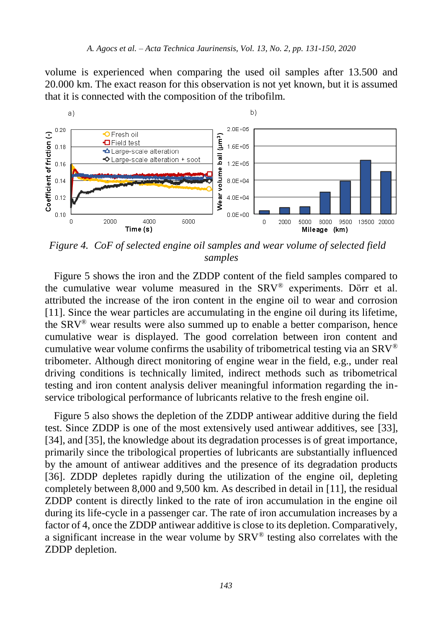volume is experienced when comparing the used oil samples after 13.500 and 20.000 km. The exact reason for this observation is not yet known, but it is assumed that it is connected with the composition of the tribofilm.



*Figure 4. CoF of selected engine oil samples and wear volume of selected field samples*

Figure 5 shows the iron and the ZDDP content of the field samples compared to the cumulative wear volume measured in the SRV® experiments. Dörr et al. attributed the increase of the iron content in the engine oil to wear and corrosion [\[11\].](#page-17-0) Since the wear particles are accumulating in the engine oil during its lifetime, the SRV® wear results were also summed up to enable a better comparison, hence cumulative wear is displayed. The good correlation between iron content and cumulative wear volume confirms the usability of tribometrical testing via an  $SRV^{\circledR}$ tribometer. Although direct monitoring of engine wear in the field, e.g., under real driving conditions is technically limited, indirect methods such as tribometrical testing and iron content analysis deliver meaningful information regarding the inservice tribological performance of lubricants relative to the fresh engine oil.

Figure 5 also shows the depletion of the ZDDP antiwear additive during the field test. Since ZDDP is one of the most extensively used antiwear additives, see [\[33\],](#page-19-3) [\[34\],](#page-19-4) an[d \[35\],](#page-19-5) the knowledge about its degradation processes is of great importance, primarily since the tribological properties of lubricants are substantially influenced by the amount of antiwear additives and the presence of its degradation products [\[36\].](#page-19-6) ZDDP depletes rapidly during the utilization of the engine oil, depleting completely between 8,000 and 9,500 km. As described in detail in [\[11\],](#page-17-0) the residual ZDDP content is directly linked to the rate of iron accumulation in the engine oil during its life-cycle in a passenger car. The rate of iron accumulation increases by a factor of 4, once the ZDDP antiwear additive is close to its depletion. Comparatively, a significant increase in the wear volume by SRV® testing also correlates with the ZDDP depletion.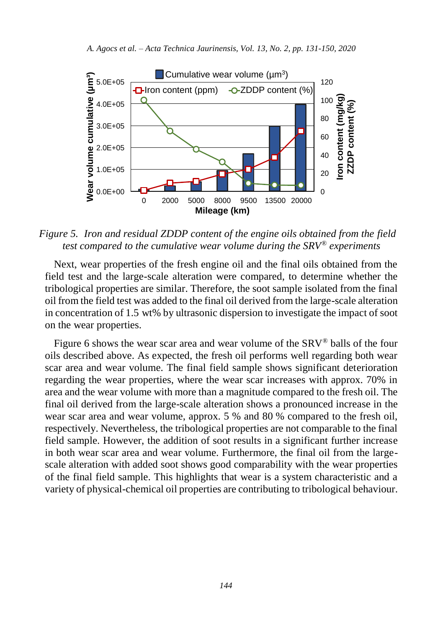

*Figure 5. Iron and residual ZDDP content of the engine oils obtained from the field test compared to the cumulative wear volume during the SRV® experiments*

Next, wear properties of the fresh engine oil and the final oils obtained from the field test and the large-scale alteration were compared, to determine whether the tribological properties are similar. Therefore, the soot sample isolated from the final oil from the field test was added to the final oil derived from the large-scale alteration in concentration of 1.5 wt% by ultrasonic dispersion to investigate the impact of soot on the wear properties.

Figure 6 shows the wear scar area and wear volume of the SRV® balls of the four oils described above. As expected, the fresh oil performs well regarding both wear scar area and wear volume. The final field sample shows significant deterioration regarding the wear properties, where the wear scar increases with approx. 70% in area and the wear volume with more than a magnitude compared to the fresh oil. The final oil derived from the large-scale alteration shows a pronounced increase in the wear scar area and wear volume, approx. 5 % and 80 % compared to the fresh oil, respectively. Nevertheless, the tribological properties are not comparable to the final field sample. However, the addition of soot results in a significant further increase in both wear scar area and wear volume. Furthermore, the final oil from the largescale alteration with added soot shows good comparability with the wear properties of the final field sample. This highlights that wear is a system characteristic and a variety of physical-chemical oil properties are contributing to tribological behaviour.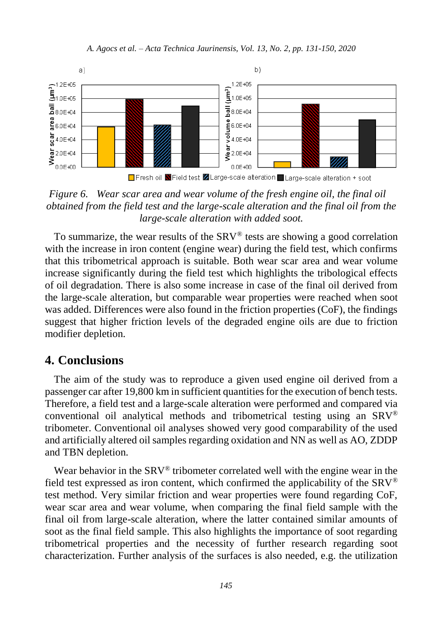

*Figure 6. Wear scar area and wear volume of the fresh engine oil, the final oil obtained from the field test and the large-scale alteration and the final oil from the large-scale alteration with added soot.*

To summarize, the wear results of the SRV® tests are showing a good correlation with the increase in iron content (engine wear) during the field test, which confirms that this tribometrical approach is suitable. Both wear scar area and wear volume increase significantly during the field test which highlights the tribological effects of oil degradation. There is also some increase in case of the final oil derived from the large-scale alteration, but comparable wear properties were reached when soot was added. Differences were also found in the friction properties (CoF), the findings suggest that higher friction levels of the degraded engine oils are due to friction modifier depletion.

# **4. Conclusions**

The aim of the study was to reproduce a given used engine oil derived from a passenger car after 19,800 km in sufficient quantities for the execution of bench tests. Therefore, a field test and a large-scale alteration were performed and compared via conventional oil analytical methods and tribometrical testing using an SRV® tribometer. Conventional oil analyses showed very good comparability of the used and artificially altered oil samples regarding oxidation and NN as well as AO, ZDDP and TBN depletion.

Wear behavior in the SRV<sup>®</sup> tribometer correlated well with the engine wear in the field test expressed as iron content, which confirmed the applicability of the  $SRV^{\otimes}$ test method. Very similar friction and wear properties were found regarding CoF, wear scar area and wear volume, when comparing the final field sample with the final oil from large-scale alteration, where the latter contained similar amounts of soot as the final field sample. This also highlights the importance of soot regarding tribometrical properties and the necessity of further research regarding soot characterization. Further analysis of the surfaces is also needed, e.g. the utilization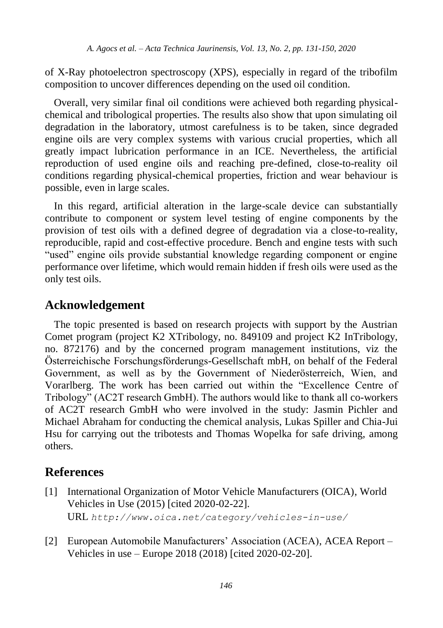of X-Ray photoelectron spectroscopy (XPS), especially in regard of the tribofilm composition to uncover differences depending on the used oil condition.

Overall, very similar final oil conditions were achieved both regarding physicalchemical and tribological properties. The results also show that upon simulating oil degradation in the laboratory, utmost carefulness is to be taken, since degraded engine oils are very complex systems with various crucial properties, which all greatly impact lubrication performance in an ICE. Nevertheless, the artificial reproduction of used engine oils and reaching pre-defined, close-to-reality oil conditions regarding physical-chemical properties, friction and wear behaviour is possible, even in large scales.

In this regard, artificial alteration in the large-scale device can substantially contribute to component or system level testing of engine components by the provision of test oils with a defined degree of degradation via a close-to-reality, reproducible, rapid and cost-effective procedure. Bench and engine tests with such "used" engine oils provide substantial knowledge regarding component or engine performance over lifetime, which would remain hidden if fresh oils were used as the only test oils.

# **Acknowledgement**

The topic presented is based on research projects with support by the Austrian Comet program (project K2 XTribology, no. 849109 and project K2 InTribology, no. 872176) and by the concerned program management institutions, viz the Österreichische Forschungsförderungs-Gesellschaft mbH, on behalf of the Federal Government, as well as by the Government of Niederösterreich, Wien, and Vorarlberg. The work has been carried out within the "Excellence Centre of Tribology" (AC2T research GmbH). The authors would like to thank all co-workers of AC2T research GmbH who were involved in the study: Jasmin Pichler and Michael Abraham for conducting the chemical analysis, Lukas Spiller and Chia-Jui Hsu for carrying out the tribotests and Thomas Wopelka for safe driving, among others.

# **References**

- <span id="page-15-0"></span>[1] International Organization of Motor Vehicle Manufacturers (OICA), World Vehicles in Use (2015) [cited 2020-02-22]. URL *http://www.oica.net/category/vehicles-in-use/*
- <span id="page-15-1"></span>[2] European Automobile Manufacturers' Association (ACEA), ACEA Report – Vehicles in use – Europe 2018 (2018) [cited 2020-02-20].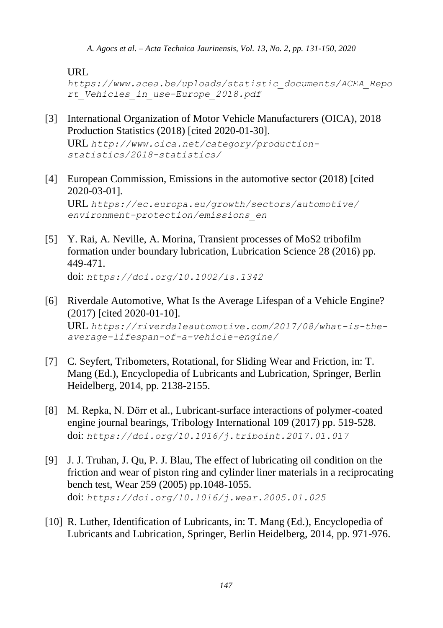URL

*[https://www.acea.be/uploads/statistic\\_documents/ACEA\\_Repo](https://www.acea.be/uploads/statistic_documents/ACEA_Report_Vehicles_in_use-Europe_2018.pdf) [rt\\_Vehicles\\_in\\_use-Europe\\_2018.pdf](https://www.acea.be/uploads/statistic_documents/ACEA_Report_Vehicles_in_use-Europe_2018.pdf)*

<span id="page-16-0"></span>[3] International Organization of Motor Vehicle Manufacturers (OICA), 2018 Production Statistics (2018) [cited 2020-01-30].

URL *[http://www.oica.net/category/production](http://www.oica.net/category/production-statistics/2018-statistics/)[statistics/2018-statistics/](http://www.oica.net/category/production-statistics/2018-statistics/)*

<span id="page-16-1"></span>[4] European Commission, Emissions in the automotive sector (2018) [cited 2020-03-01]. URL *[https://ec.europa.eu/growth/sectors/automotive/](https://ec.europa.eu/growth/sectors/automotive/environment-protection/emissions_en.)*

*[environment-protection/emissions\\_en](https://ec.europa.eu/growth/sectors/automotive/environment-protection/emissions_en.)*

- <span id="page-16-2"></span>[5] Y. Rai, A. Neville, A. Morina, Transient processes of MoS2 tribofilm formation under boundary lubrication, Lubrication Science 28 (2016) pp. 449-471. doi: *<https://doi.org/10.1002/ls.1342>*
- <span id="page-16-3"></span>[6] Riverdale Automotive, What Is the Average Lifespan of a Vehicle Engine? (2017) [cited 2020-01-10]. URL *[https://riverdaleautomotive.com/2017/08/what-is-the](https://riverdaleautomotive.com/2017/08/what-is-the-average-lifespan-of-a-vehicle-engine/)[average-lifespan-of-a-vehicle-engine/](https://riverdaleautomotive.com/2017/08/what-is-the-average-lifespan-of-a-vehicle-engine/)*
- <span id="page-16-4"></span>[7] C. Seyfert, Tribometers, Rotational, for Sliding Wear and Friction, in: T. Mang (Ed.), Encyclopedia of Lubricants and Lubrication, Springer, Berlin Heidelberg, 2014, pp. 2138-2155.
- <span id="page-16-5"></span>[8] M. Repka, N. Dörr et al., Lubricant-surface interactions of polymer-coated engine journal bearings, Tribology International 109 (2017) pp. 519-528. doi: *<https://doi.org/10.1016/j.triboint.2017.01.017>*
- <span id="page-16-6"></span>[9] J. J. Truhan, J. Qu, P. J. Blau, The effect of lubricating oil condition on the friction and wear of piston ring and cylinder liner materials in a reciprocating bench test, Wear 259 (2005) pp.1048-1055. doi: *<https://doi.org/10.1016/j.wear.2005.01.025>*
- <span id="page-16-7"></span>[10] R. Luther, Identification of Lubricants, in: T. Mang (Ed.), Encyclopedia of Lubricants and Lubrication, Springer, Berlin Heidelberg, 2014, pp. 971-976.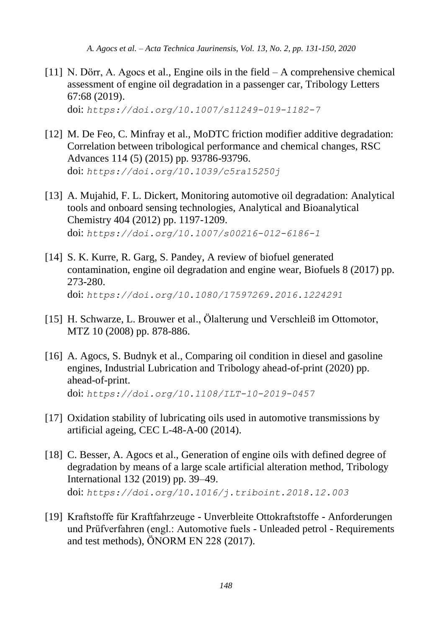<span id="page-17-0"></span>[11] N. Dörr, A. Agocs et al., Engine oils in the field – A comprehensive chemical assessment of engine oil degradation in a passenger car, Tribology Letters 67:68 (2019).

doi: *<https://doi.org/10.1007/s11249-019-1182-7>*

- <span id="page-17-1"></span>[12] M. De Feo, C. Minfray et al., MoDTC friction modifier additive degradation: Correlation between tribological performance and chemical changes, RSC Advances 114 (5) (2015) pp. 93786-93796. doi: *<https://doi.org/10.1039/c5ra15250j>*
- <span id="page-17-2"></span>[13] A. Mujahid, F. L. Dickert, Monitoring automotive oil degradation: Analytical tools and onboard sensing technologies, Analytical and Bioanalytical Chemistry 404 (2012) pp. 1197-1209. doi: *<https://doi.org/10.1007/s00216-012-6186-1>*
- <span id="page-17-3"></span>[14] S. K. Kurre, R. Garg, S. Pandey, A review of biofuel generated contamination, engine oil degradation and engine wear, Biofuels 8 (2017) pp. 273-280. doi: *<https://doi.org/10.1080/17597269.2016.1224291>*
- <span id="page-17-4"></span>[15] H. Schwarze, L. Brouwer et al., Ölalterung und Verschleiß im Ottomotor, MTZ 10 (2008) pp. 878-886.
- <span id="page-17-5"></span>[16] A. Agocs, S. Budnyk et al., Comparing oil condition in diesel and gasoline engines, Industrial Lubrication and Tribology ahead-of-print (2020) pp. ahead-of-print. doi: *<https://doi.org/10.1108/ILT-10-2019-0457>*
- <span id="page-17-6"></span>[17] Oxidation stability of lubricating oils used in automotive transmissions by artificial ageing, CEC L-48-A-00 (2014).
- <span id="page-17-7"></span>[18] C. Besser, A. Agocs et al., Generation of engine oils with defined degree of degradation by means of a large scale artificial alteration method, Tribology International 132 (2019) pp. 39–49. doi: *<https://doi.org/10.1016/j.triboint.2018.12.003>*
- <span id="page-17-8"></span>[19] Kraftstoffe für Kraftfahrzeuge - Unverbleite Ottokraftstoffe - Anforderungen und Prüfverfahren (engl.: Automotive fuels - Unleaded petrol - Requirements and test methods), ÖNORM EN 228 (2017).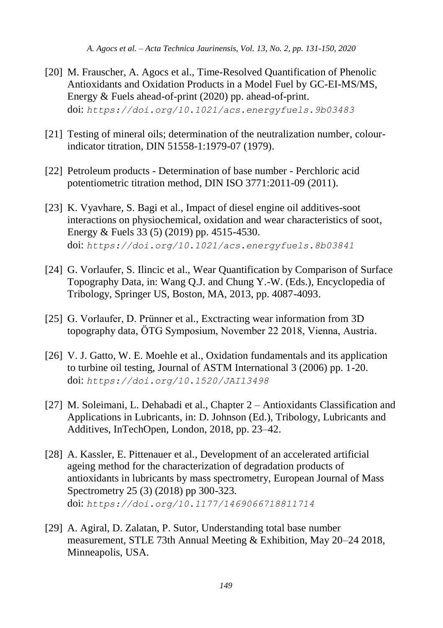- [20] M. Frauscher, A. Agocs et al., Time-Resolved Quantification of Phenolic Antioxidants and Oxidation Products in a Model Fuel by GC-EI-MS/MS, Energy & Fuels ahead-of-print (2020) pp. ahead-of-print. doi: *<https://doi.org/10.1021/acs.energyfuels.9b03483>*
- <span id="page-18-0"></span>[21] Testing of mineral oils; determination of the neutralization number, colourindicator titration, DIN 51558-1:1979-07 (1979).
- <span id="page-18-1"></span>[22] Petroleum products - Determination of base number - Perchloric acid potentiometric titration method, DIN ISO 3771:2011-09 (2011).
- <span id="page-18-2"></span>[23] K. Vyavhare, S. Bagi et al., Impact of diesel engine oil additives-soot interactions on physiochemical, oxidation and wear characteristics of soot, Energy & Fuels 33 (5) (2019) pp. 4515-4530. doi: *<https://doi.org/10.1021/acs.energyfuels.8b03841>*
- <span id="page-18-3"></span>[24] G. Vorlaufer, S. Ilincic et al., Wear Quantification by Comparison of Surface Topography Data, in: Wang Q.J. and Chung Y.-W. (Eds.), Encyclopedia of Tribology, Springer US, Boston, MA, 2013, pp. 4087-4093.
- <span id="page-18-4"></span>[25] G. Vorlaufer, D. Prünner et al., Exctracting wear information from 3D topography data, ÖTG Symposium, November 22 2018, Vienna, Austria.
- <span id="page-18-5"></span>[26] V. J. Gatto, W. E. Moehle et al., Oxidation fundamentals and its application to turbine oil testing, Journal of ASTM International 3 (2006) pp. 1-20. doi: *<https://doi.org/10.1520/JAI13498>*
- <span id="page-18-6"></span>[27] M. Soleimani, L. Dehabadi et al., Chapter 2 – Antioxidants Classification and Applications in Lubricants, in: D. Johnson (Ed.), Tribology, Lubricants and Additives, InTechOpen, London, 2018, pp. 23–42.
- <span id="page-18-7"></span>[28] A. Kassler, E. Pittenauer et al., Development of an accelerated artificial ageing method for the characterization of degradation products of antioxidants in lubricants by mass spectrometry, European Journal of Mass Spectrometry 25 (3) (2018) pp 300-323. doi: *<https://doi.org/10.1177/1469066718811714>*
- <span id="page-18-8"></span>[29] A. Agiral, D. Zalatan, P. Sutor, Understanding total base number measurement, STLE 73th Annual Meeting & Exhibition, May 20–24 2018, Minneapolis, USA.